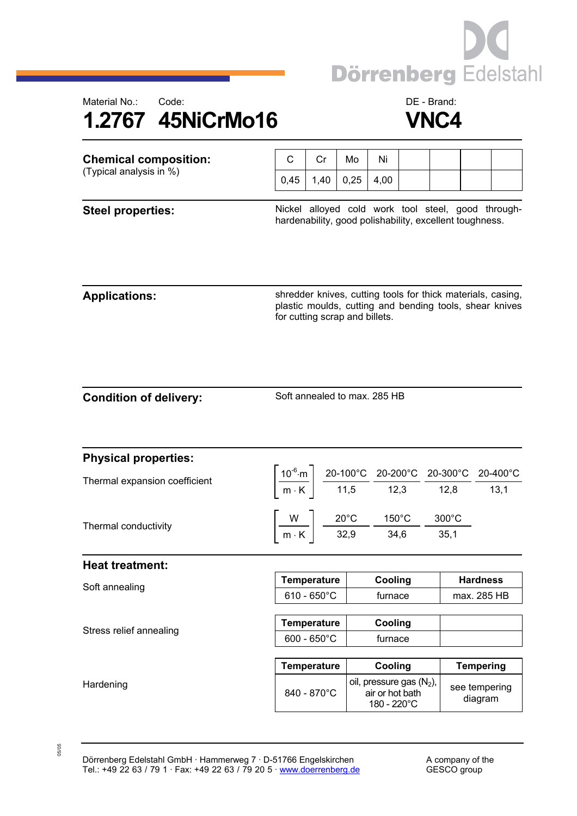





| <b>Chemical composition:</b><br>(Typical analysis in %) |      |      | Mo   | Ni   |  |  |
|---------------------------------------------------------|------|------|------|------|--|--|
|                                                         | 0.45 | 1,40 | 0.25 | 4.00 |  |  |
|                                                         |      |      |      |      |  |  |

Steel properties: **Nickel alloyed cold work tool steel, good through**hardenability, good polishability, excellent toughness.

Applications: **Applications: shredder knives, cutting tools for thick materials, casing,** plastic moulds, cutting and bending tools, shear knives for cutting scrap and billets.

Soft annealed to max. 285 HB

| <b>Physical properties:</b>   |                       |                                                                                                          |                                                                                                                                                                                                                        |                          |  |
|-------------------------------|-----------------------|----------------------------------------------------------------------------------------------------------|------------------------------------------------------------------------------------------------------------------------------------------------------------------------------------------------------------------------|--------------------------|--|
| Thermal expansion coefficient |                       |                                                                                                          | $\left[\frac{10^{-6}\text{ m}}{\text{m} \cdot \text{K}}\right] \frac{\text{20-100°C}}{\text{11,5}} \frac{\text{20-200°C}}{\text{12,3}} \frac{\text{20-300°C}}{\text{12,8}} \frac{\text{20-400°C}}{\text{13,1}}\right]$ |                          |  |
|                               |                       |                                                                                                          |                                                                                                                                                                                                                        |                          |  |
| Thermal conductivity          |                       | $\frac{W}{m \cdot K}$ $\frac{20^{\circ}C}{32.9}$ $\frac{150^{\circ}C}{34.6}$ $\frac{300^{\circ}C}{35.1}$ |                                                                                                                                                                                                                        |                          |  |
|                               |                       |                                                                                                          |                                                                                                                                                                                                                        |                          |  |
| <b>Heat treatment:</b>        |                       |                                                                                                          |                                                                                                                                                                                                                        |                          |  |
| Soft annealing                | <b>Temperature</b>    | Cooling                                                                                                  |                                                                                                                                                                                                                        | <b>Hardness</b>          |  |
|                               | $610 - 650^{\circ}$ C | furnace                                                                                                  |                                                                                                                                                                                                                        | max. 285 HB              |  |
|                               |                       |                                                                                                          |                                                                                                                                                                                                                        |                          |  |
| Stress relief annealing       | <b>Temperature</b>    | Cooling                                                                                                  |                                                                                                                                                                                                                        |                          |  |
|                               | $600 - 650^{\circ}$ C | furnace                                                                                                  |                                                                                                                                                                                                                        |                          |  |
|                               |                       |                                                                                                          |                                                                                                                                                                                                                        |                          |  |
| Hardening                     | <b>Temperature</b>    | Cooling                                                                                                  |                                                                                                                                                                                                                        | <b>Tempering</b>         |  |
|                               | 840 - 870°C           | oil, pressure gas $(N_2)$ ,<br>air or hot bath<br>180 - 220°C                                            |                                                                                                                                                                                                                        | see tempering<br>diagram |  |